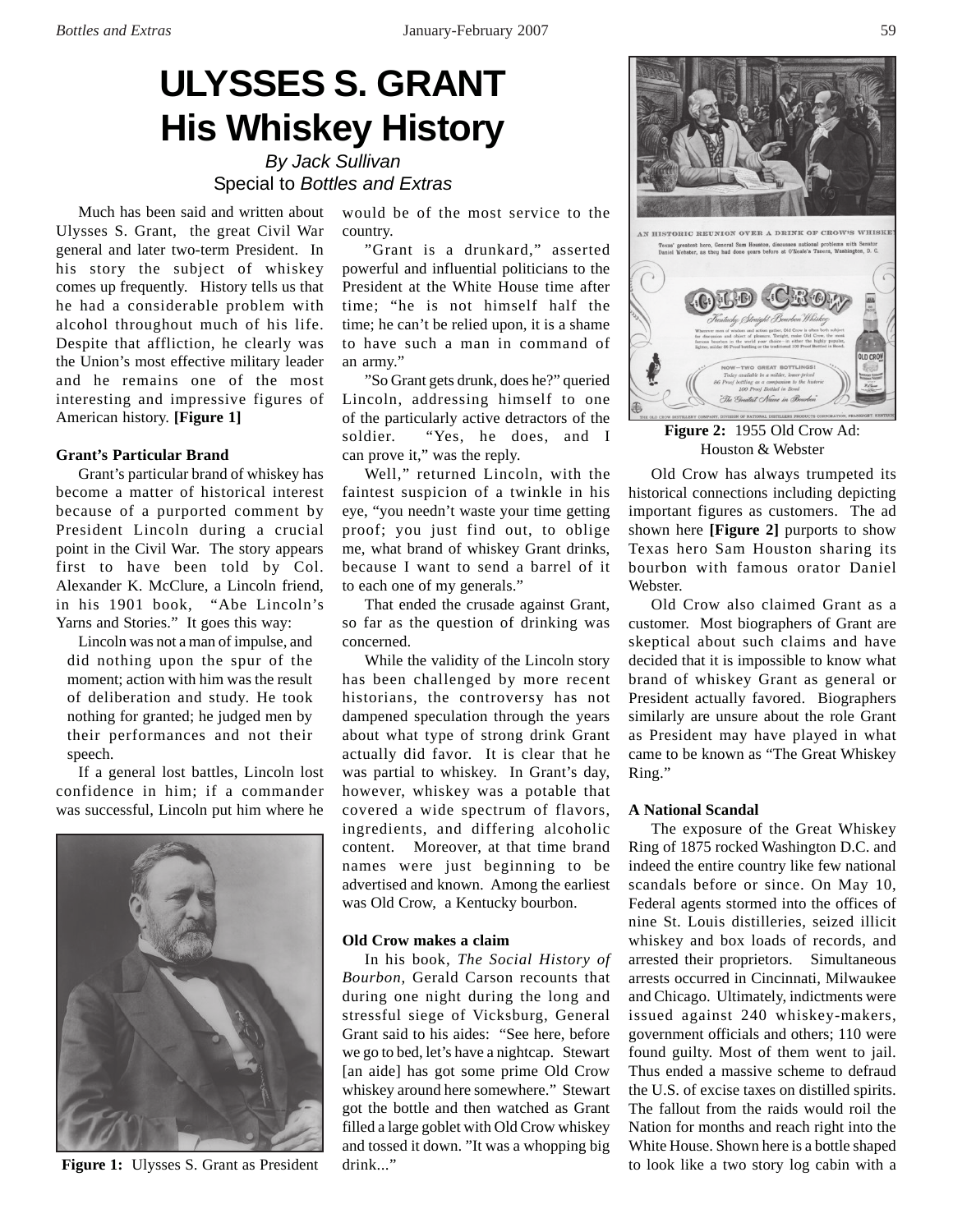# **ULYSSES S. GRANT His Whiskey History**

*By Jack Sullivan* Special to *Bottles and Extras*

Much has been said and written about Ulysses S. Grant, the great Civil War general and later two-term President. In his story the subject of whiskey comes up frequently. History tells us that he had a considerable problem with alcohol throughout much of his life. Despite that affliction, he clearly was the Union's most effective military leader and he remains one of the most interesting and impressive figures of American history. **[Figure 1]**

## **Grant's Particular Brand**

Grant's particular brand of whiskey has become a matter of historical interest because of a purported comment by President Lincoln during a crucial point in the Civil War. The story appears first to have been told by Col. Alexander K. McClure, a Lincoln friend, in his 1901 book, "Abe Lincoln's Yarns and Stories." It goes this way:

Lincoln was not a man of impulse, and did nothing upon the spur of the moment; action with him was the result of deliberation and study. He took nothing for granted; he judged men by their performances and not their speech.

If a general lost battles, Lincoln lost confidence in him; if a commander was successful, Lincoln put him where he



would be of the most service to the country.

"Grant is a drunkard," asserted powerful and influential politicians to the President at the White House time after time; "he is not himself half the time; he can't be relied upon, it is a shame to have such a man in command of an army."

"So Grant gets drunk, does he?" queried Lincoln, addressing himself to one of the particularly active detractors of the soldier. "Yes, he does, and I can prove it," was the reply.

Well," returned Lincoln, with the faintest suspicion of a twinkle in his eye, "you needn't waste your time getting proof; you just find out, to oblige me, what brand of whiskey Grant drinks, because I want to send a barrel of it to each one of my generals."

That ended the crusade against Grant, so far as the question of drinking was concerned.

While the validity of the Lincoln story has been challenged by more recent historians, the controversy has not dampened speculation through the years about what type of strong drink Grant actually did favor. It is clear that he was partial to whiskey. In Grant's day, however, whiskey was a potable that covered a wide spectrum of flavors, ingredients, and differing alcoholic content. Moreover, at that time brand names were just beginning to be advertised and known. Among the earliest was Old Crow, a Kentucky bourbon.

# **Old Crow makes a claim**

In his book, *The Social History of Bourbon*, Gerald Carson recounts that during one night during the long and stressful siege of Vicksburg, General Grant said to his aides: "See here, before we go to bed, let's have a nightcap. Stewart [an aide] has got some prime Old Crow whiskey around here somewhere." Stewart got the bottle and then watched as Grant filled a large goblet with Old Crow whiskey and tossed it down. "It was a whopping big drink..." **Figure 1:** Ulysses S. Grant as President drink..." The to look like a two story log cabin with a



**Figure 2:** 1955 Old Crow Ad: Houston & Webster

Old Crow has always trumpeted its historical connections including depicting important figures as customers. The ad shown here **[Figure 2]** purports to show Texas hero Sam Houston sharing its bourbon with famous orator Daniel Webster.

Old Crow also claimed Grant as a customer. Most biographers of Grant are skeptical about such claims and have decided that it is impossible to know what brand of whiskey Grant as general or President actually favored. Biographers similarly are unsure about the role Grant as President may have played in what came to be known as "The Great Whiskey Ring."

# **A National Scandal**

The exposure of the Great Whiskey Ring of 1875 rocked Washington D.C. and indeed the entire country like few national scandals before or since. On May 10, Federal agents stormed into the offices of nine St. Louis distilleries, seized illicit whiskey and box loads of records, and arrested their proprietors. Simultaneous arrests occurred in Cincinnati, Milwaukee and Chicago. Ultimately, indictments were issued against 240 whiskey-makers, government officials and others; 110 were found guilty. Most of them went to jail. Thus ended a massive scheme to defraud the U.S. of excise taxes on distilled spirits. The fallout from the raids would roil the Nation for months and reach right into the White House. Shown here is a bottle shaped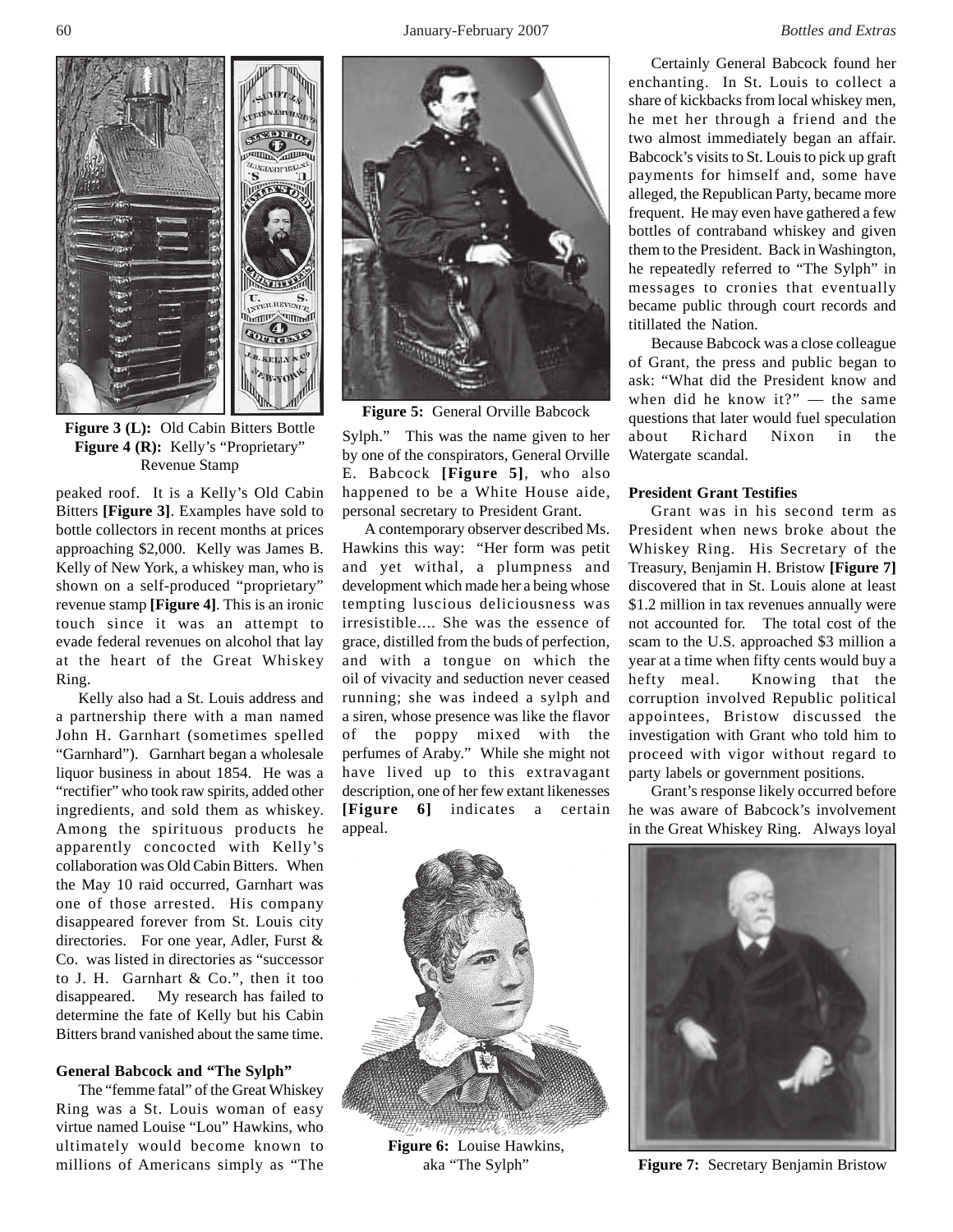

**Figure 3 (L):** Old Cabin Bitters Bottle Figure 4 (R): Kelly's "Proprietary" Revenue Stamp

peaked roof. It is a Kelly's Old Cabin Bitters **[Figure 3]**. Examples have sold to bottle collectors in recent months at prices approaching \$2,000. Kelly was James B. Kelly of New York, a whiskey man, who is shown on a self-produced "proprietary" revenue stamp **[Figure 4]**. This is an ironic touch since it was an attempt to evade federal revenues on alcohol that lay at the heart of the Great Whiskey Ring.

Kelly also had a St. Louis address and a partnership there with a man named John H. Garnhart (sometimes spelled "Garnhard"). Garnhart began a wholesale liquor business in about 1854. He was a "rectifier" who took raw spirits, added other ingredients, and sold them as whiskey. Among the spirituous products he apparently concocted with Kelly's collaboration was Old Cabin Bitters. When the May 10 raid occurred, Garnhart was one of those arrested. His company disappeared forever from St. Louis city directories. For one year, Adler, Furst & Co. was listed in directories as "successor to J. H. Garnhart & Co.", then it too disappeared. My research has failed to determine the fate of Kelly but his Cabin Bitters brand vanished about the same time.

#### **General Babcock and "The Sylph"**

The "femme fatal" of the Great Whiskey Ring was a St. Louis woman of easy virtue named Louise "Lou" Hawkins, who ultimately would become known to millions of Americans simply as "The



**Figure 5:** General Orville Babcock

Sylph." This was the name given to her by one of the conspirators, General Orville E. Babcock **[Figure 5]**, who also happened to be a White House aide, personal secretary to President Grant.

A contemporary observer described Ms. Hawkins this way: "Her form was petit and yet withal, a plumpness and development which made her a being whose tempting luscious deliciousness was irresistible.... She was the essence of grace, distilled from the buds of perfection, and with a tongue on which the oil of vivacity and seduction never ceased running; she was indeed a sylph and a siren, whose presence was like the flavor of the poppy mixed with the perfumes of Araby." While she might not have lived up to this extravagant description, one of her few extant likenesses **[Figure 6]** indicates a certain appeal.

Certainly General Babcock found her enchanting. In St. Louis to collect a share of kickbacks from local whiskey men, he met her through a friend and the two almost immediately began an affair. Babcock's visits to St. Louis to pick up graft payments for himself and, some have alleged, the Republican Party, became more frequent. He may even have gathered a few bottles of contraband whiskey and given them to the President. Back in Washington, he repeatedly referred to "The Sylph" in messages to cronies that eventually became public through court records and titillated the Nation.

Because Babcock was a close colleague of Grant, the press and public began to ask: "What did the President know and when did he know it?" — the same questions that later would fuel speculation about Richard Nixon in the Watergate scandal.

### **President Grant Testifies**

Grant was in his second term as President when news broke about the Whiskey Ring. His Secretary of the Treasury, Benjamin H. Bristow **[Figure 7]** discovered that in St. Louis alone at least \$1.2 million in tax revenues annually were not accounted for. The total cost of the scam to the U.S. approached \$3 million a year at a time when fifty cents would buy a hefty meal. Knowing that the corruption involved Republic political appointees, Bristow discussed the investigation with Grant who told him to proceed with vigor without regard to party labels or government positions.

Grant's response likely occurred before he was aware of Babcock's involvement in the Great Whiskey Ring. Always loyal



**Figure 6:** Louise Hawkins,



aka "The Sylph" **Figure 7:** Secretary Benjamin Bristow